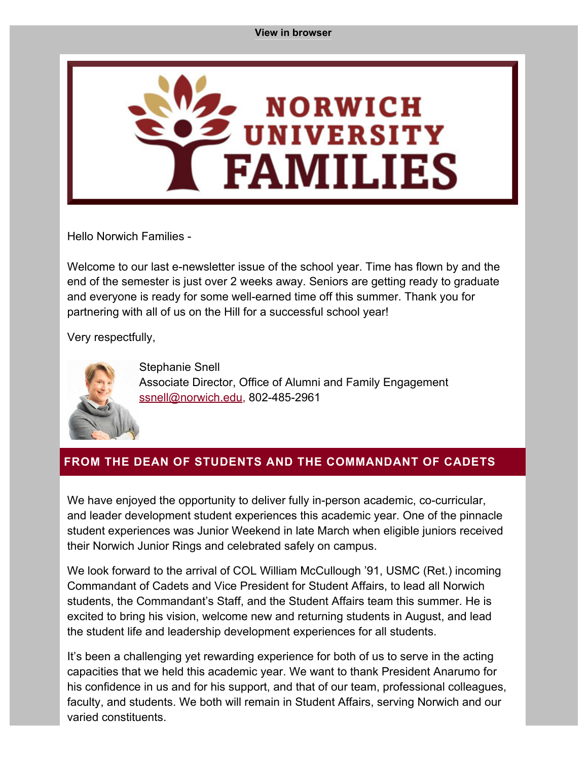#### **[View in browser](#page-0-0)**

<span id="page-0-0"></span>

Hello Norwich Families -

Welcome to our last e-newsletter issue of the school year. Time has flown by and the end of the semester is just over 2 weeks away. Seniors are getting ready to graduate and everyone is ready for some well-earned time off this summer. Thank you for partnering with all of us on the Hill for a successful school year!

Very respectfully,



Stephanie Snell Associate Director, Office of Alumni and Family Engagement [ssnell@norwich.edu](mailto:ssnell@norwich.edu), 802-485-2961

## **FROM THE DEAN OF STUDENTS AND THE COMMANDANT OF CADETS**

We have enjoyed the opportunity to deliver fully in-person academic, co-curricular, and leader development student experiences this academic year. One of the pinnacle student experiences was Junior Weekend in late March when eligible juniors received their Norwich Junior Rings and celebrated safely on campus.

We look forward to the arrival of COL William McCullough '91, USMC (Ret.) incoming Commandant of Cadets and Vice President for Student Affairs, to lead all Norwich students, the Commandant's Staff, and the Student Affairs team this summer. He is excited to bring his vision, welcome new and returning students in August, and lead the student life and leadership development experiences for all students.

It's been a challenging yet rewarding experience for both of us to serve in the acting capacities that we held this academic year. We want to thank President Anarumo for his confidence in us and for his support, and that of our team, professional colleagues, faculty, and students. We both will remain in Student Affairs, serving Norwich and our varied constituents.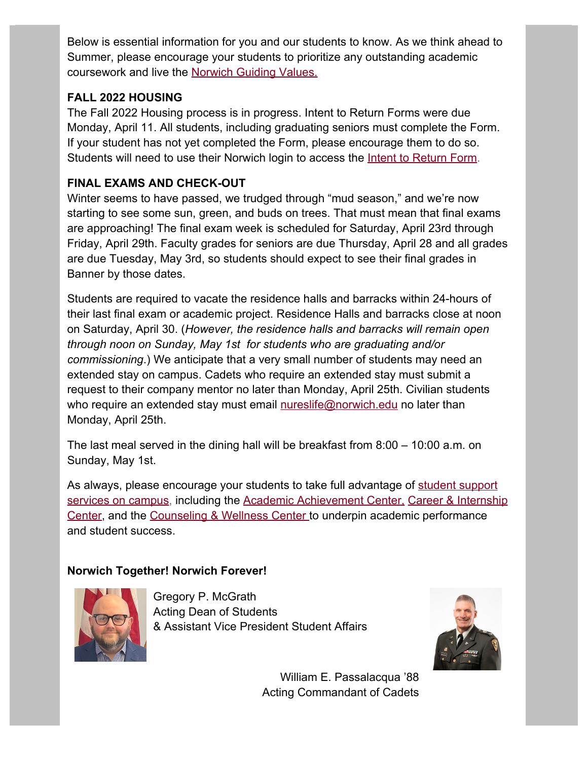Below is essential information for you and our students to know. As we think ahead to Summer, please encourage your students to prioritize any outstanding academic coursework and live the [Norwich Guiding Values](https://alumni.norwich.edu/page.redir?target=https%3a%2f%2fwww.norwich.edu%2fabout%2f1210-guiding-values&srcid=160281&srctid=1&erid=22839051&trid=90b5a55b-5230-4f9d-908d-63711ea339aa).

## **FALL 2022 HOUSING**

The Fall 2022 Housing process is in progress. Intent to Return Forms were due Monday, April 11. All students, including graduating seniors must complete the Form. If your student has not yet completed the Form, please encourage them to do so. Students will need to use their Norwich login to access the [Intent to Return Form.](https://alumni.norwich.edu/page.redir?target=https%3a%2f%2fnextgensso.com%2fsp%2fstartSSO.ping%3fPartnerIdpId%3dhttps%3a%2f%2fsts.windows.net%2f34fcb756-3a7c-4dea-ab4d-5324bc02ef5e%2f%26TargetResource%3dhttps%253a%252f%252fdynamicforms.ngwebsolutions.com%252fSubmit%252fStart%252f012b8b77-5930-4d9a-8ce3-35f60870837d&srcid=160281&srctid=1&erid=22839051&trid=90b5a55b-5230-4f9d-908d-63711ea339aa)

# **FINAL EXAMS AND CHECK-OUT**

Winter seems to have passed, we trudged through "mud season," and we're now starting to see some sun, green, and buds on trees. That must mean that final exams are approaching! The final exam week is scheduled for Saturday, April 23rd through Friday, April 29th. Faculty grades for seniors are due Thursday, April 28 and all grades are due Tuesday, May 3rd, so students should expect to see their final grades in Banner by those dates.

Students are required to vacate the residence halls and barracks within 24-hours of their last final exam or academic project. Residence Halls and barracks close at noon on Saturday, April 30. (*However, the residence halls and barracks will remain open through noon on Sunday, May 1st for students who are graduating and/or commissioning*.) We anticipate that a very small number of students may need an extended stay on campus. Cadets who require an extended stay must submit a request to their company mentor no later than Monday, April 25th. Civilian students who require an extended stay must email [nureslife@norwich.edu](mailto:nureslife@norwich.edu) no later than Monday, April 25th.

The last meal served in the dining hall will be breakfast from 8:00 – 10:00 a.m. on Sunday, May 1st.

As always, please encourage your students to take full advantage of [student support](https://alumni.norwich.edu/page.redir?target=https%3a%2f%2fwww.norwich.edu%2fcampus-life&srcid=160281&srctid=1&erid=22839051&trid=90b5a55b-5230-4f9d-908d-63711ea339aa) [services on campus](https://alumni.norwich.edu/page.redir?target=https%3a%2f%2fwww.norwich.edu%2fcampus-life&srcid=160281&srctid=1&erid=22839051&trid=90b5a55b-5230-4f9d-908d-63711ea339aa), including the [Academic Achievement Center](https://alumni.norwich.edu/page.redir?target=https%3a%2f%2fwww.norwich.edu%2faac&srcid=160281&srctid=1&erid=22839051&trid=90b5a55b-5230-4f9d-908d-63711ea339aa), [Career & Internship](https://alumni.norwich.edu/page.redir?target=https%3a%2f%2fwww.norwich.edu%2fcareers&srcid=160281&srctid=1&erid=22839051&trid=90b5a55b-5230-4f9d-908d-63711ea339aa) [Center](https://alumni.norwich.edu/page.redir?target=https%3a%2f%2fwww.norwich.edu%2fcareers&srcid=160281&srctid=1&erid=22839051&trid=90b5a55b-5230-4f9d-908d-63711ea339aa), and the [Counseling & Wellness Center](https://alumni.norwich.edu/page.redir?target=https%3a%2f%2fwww.norwich.edu%2fcounseling&srcid=160281&srctid=1&erid=22839051&trid=90b5a55b-5230-4f9d-908d-63711ea339aa) to underpin academic performance and student success.

# **Norwich Together! Norwich Forever!**



Gregory P. McGrath Acting Dean of Students & Assistant Vice President Student Affairs



William E. Passalacqua '88 Acting Commandant of Cadets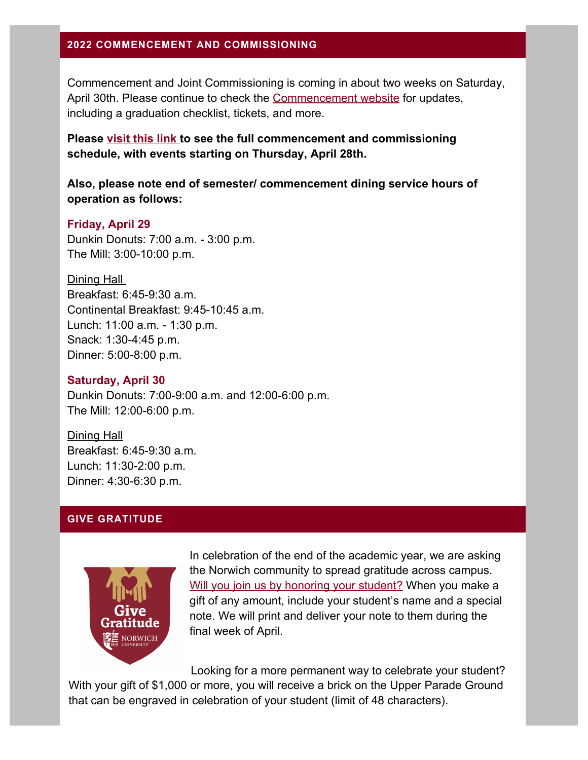#### **2022 COMMENCEMENT AND COMMISSIONING**

Commencement and Joint Commissioning is coming in about two weeks on Saturday, April 30th. Please continue to check the [Commencement website](https://alumni.norwich.edu/page.redir?target=https%3a%2f%2fwww.norwich.edu%2fcommencement&srcid=160281&srctid=1&erid=22839051&trid=90b5a55b-5230-4f9d-908d-63711ea339aa) for updates, including a graduation checklist, tickets, and more.

**Please [visit this link](https://alumni.norwich.edu/page.redir?target=https%3a%2f%2fwww.norwich.edu%2fcommencement%2fschedule&srcid=160281&srctid=1&erid=22839051&trid=90b5a55b-5230-4f9d-908d-63711ea339aa) to see the full commencement and commissioning schedule, with events starting on Thursday, April 28th.**

**Also, please note end of semester/ commencement dining service hours of operation as follows:**

#### **Friday, April 29**

Dunkin Donuts: 7:00 a.m. - 3:00 p.m. The Mill: 3:00-10:00 p.m.

Dining Hall Breakfast: 6:45-9:30 a.m. Continental Breakfast: 9:45-10:45 a.m. Lunch: 11:00 a.m. - 1:30 p.m. Snack: 1:30-4:45 p.m. Dinner: 5:00-8:00 p.m.

#### **Saturday, April 30**

Dunkin Donuts: 7:00-9:00 a.m. and 12:00-6:00 p.m. The Mill: 12:00-6:00 p.m.

Dining Hall Breakfast: 6:45-9:30 a.m. Lunch: 11:30-2:00 p.m. Dinner: 4:30-6:30 p.m.

### **GIVE GRATITUDE**



In celebration of the end of the academic year, we are asking the Norwich community to spread gratitude across campus. [Will you join us by honoring your student?](https://alumni.norwich.edu/page.redir?target=https%3a%2f%2fwww.givecampus.com%2fu4nla1&srcid=160281&srctid=1&erid=22839051&trid=90b5a55b-5230-4f9d-908d-63711ea339aa) When you make a gift of any amount, include your student's name and a special note. We will print and deliver your note to them during the final week of April.

Looking for a more permanent way to celebrate your student? With your gift of \$1,000 or more, you will receive a brick on the Upper Parade Ground that can be engraved in celebration of your student (limit of 48 characters).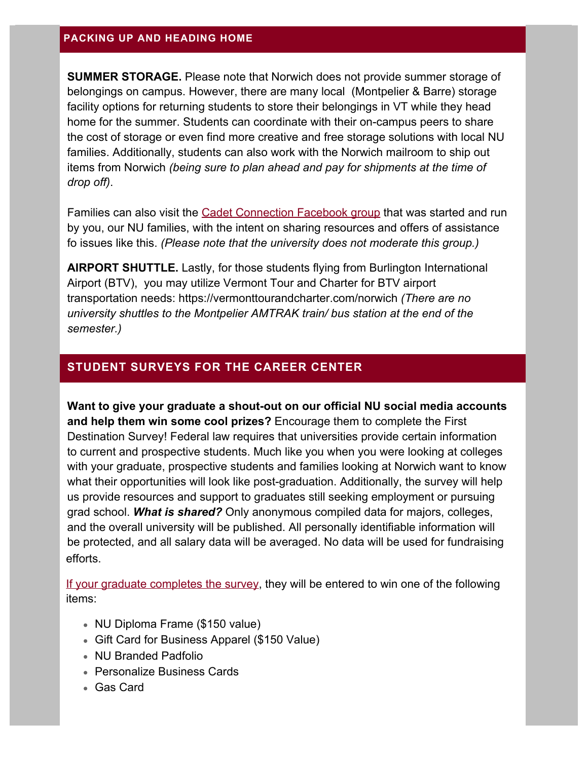#### **PACKING UP AND HEADING HOME**

**SUMMER STORAGE.** Please note that Norwich does not provide summer storage of belongings on campus. However, there are many local (Montpelier & Barre) storage facility options for returning students to store their belongings in VT while they head home for the summer. Students can coordinate with their on-campus peers to share the cost of storage or even find more creative and free storage solutions with local NU families. Additionally, students can also work with the Norwich mailroom to ship out items from Norwich *(being sure to plan ahead and pay for shipments at the time of drop off)*.

Families can also visit the [Cadet Connection Facebook group](https://alumni.norwich.edu/page.redir?target=https%3a%2f%2fwww.facebook.com%2fgroups%2f550478446381979&srcid=160281&srctid=1&erid=22839051&trid=90b5a55b-5230-4f9d-908d-63711ea339aa) that was started and run by you, our NU families, with the intent on sharing resources and offers of assistance fo issues like this. *(Please note that the university does not moderate this group.)*

**AIRPORT SHUTTLE.** Lastly, for those students flying from Burlington International Airport (BTV), you may utilize Vermont Tour and Charter for BTV airport transportation needs: [https://vermonttourandcharter.com/norwich](https://alumni.norwich.edu/page.redir?target=https%3a%2f%2fvermonttourandcharter.com%2fnorwich&srcid=160281&srctid=1&erid=22839051&trid=90b5a55b-5230-4f9d-908d-63711ea339aa) *(There are no university shuttles to the Montpelier AMTRAK train/ bus station at the end of the semester.)*

### **STUDENT SURVEYS FOR THE CAREER CENTER**

**Want to give your graduate a shout-out on our official NU social media accounts and help them win some cool prizes?** Encourage them to complete the First Destination Survey! Federal law requires that universities provide certain information to current and prospective students. Much like you when you were looking at colleges with your graduate, prospective students and families looking at Norwich want to know what their opportunities will look like post-graduation. Additionally, the survey will help us provide resources and support to graduates still seeking employment or pursuing grad school. *What is shared?* Only anonymous compiled data for majors, colleges, and the overall university will be published. All personally identifiable information will be protected, and all salary data will be averaged. No data will be used for fundraising efforts.

If your graduate completes the survey, they will be entered to win one of the following items:

- NU Diploma Frame (\$150 value)
- Gift Card for Business Apparel (\$150 Value)
- NU Branded Padfolio
- Personalize Business Cards
- Gas Card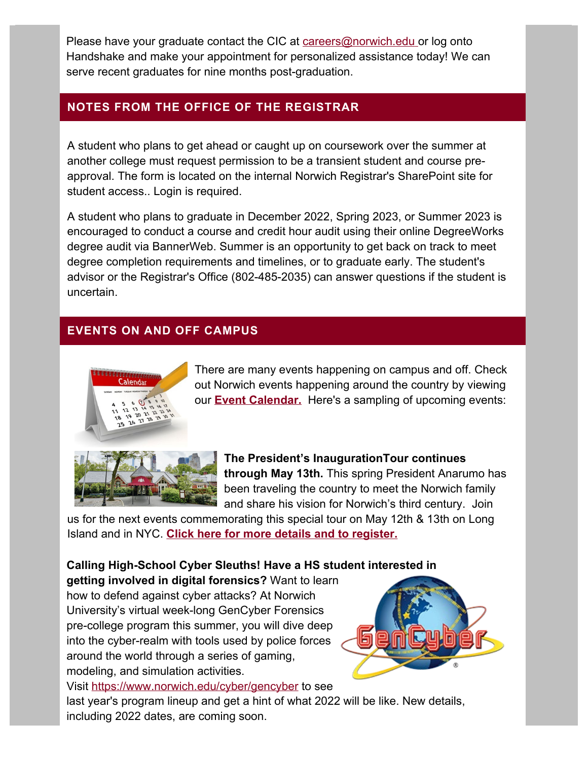Please have your graduate contact the CIC at careers@norwich.edu or log onto Handshake and make your appointment for personalized assistance today! We can serve recent graduates for nine months post-graduation.

## **NOTES FROM THE OFFICE OF THE REGISTRAR**

A student who plans to get ahead or caught up on coursework over the summer at another college must request permission to be a transient student and course preapproval. The form is located on the internal Norwich Registrar's SharePoint site for student access.. Login is required.

A student who plans to graduate in December 2022, Spring 2023, or Summer 2023 is encouraged to conduct a course and credit hour audit using their online DegreeWorks degree audit via BannerWeb. Summer is an opportunity to get back on track to meet degree completion requirements and timelines, or to graduate early. The student's advisor or the Registrar's Office (802-485-2035) can answer questions if the student is uncertain.

# **EVENTS ON AND OFF CAMPUS**



There are many events happening on campus and off. Check out Norwich events happening around the country by viewing our **[Event Calendar.](https://alumni.norwich.edu/Events?srctid=1&erid=22839051&trid=90b5a55b-5230-4f9d-908d-63711ea339aa)** Here's a sampling of upcoming events:

**The President's InaugurationTour continues through May 13th.** This spring President Anarumo has been traveling the country to meet the Norwich family and share his vision for Norwich's third century. Join

us for the next events commemorating this special tour on May 12th & 13th on Long Island and in NY[C.](https://alumni.norwich.edu/page.redir?target=https%3a%2f%2falumni.norwich.edu%2finaugurationtour&srcid=160281&srctid=1&erid=22839051&trid=90b5a55b-5230-4f9d-908d-63711ea339aa) **[Click here for more details and to register.](https://alumni.norwich.edu/page.redir?target=https%3a%2f%2falumni.norwich.edu%2finaugurationtour&srcid=160281&srctid=1&erid=22839051&trid=90b5a55b-5230-4f9d-908d-63711ea339aa)**

## **Calling High-School Cyber Sleuths! Have a HS student interested in**

**getting involved in digital forensics?** Want to learn how to defend against cyber attacks? At Norwich University's virtual week-long GenCyber Forensics pre-college program this summer, you will dive deep into the cyber-realm with tools used by police forces around the world through a series of gaming, modeling, and simulation activities.

Visit https://www.norwich.edu/cyber/gencyber to see



last year's program lineup and get a hint of what 2022 will be like. New details, including 2022 dates, are coming soon.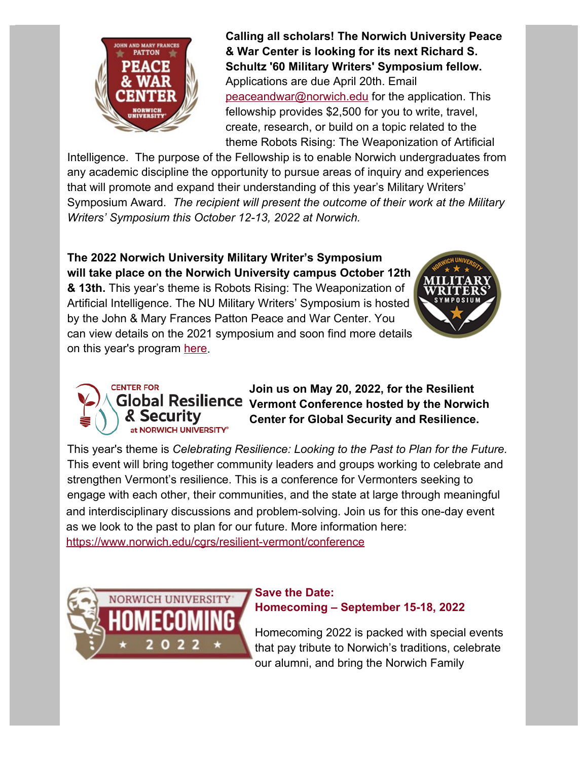

**Calling all scholars! The Norwich University Peace & War Center is looking for its next Richard S. Schultz '60 Military Writers' Symposium fellow.** Applications are due April 20th. Email [peaceandwar@norwich.edu](mailto:peaceandwar@norwich.edu) for the application. This fellowship provides \$2,500 for you to write, travel, create, research, or build on a topic related to the theme Robots Rising: The Weaponization of Artificial

Intelligence. The purpose of the Fellowship is to enable Norwich undergraduates from any academic discipline the opportunity to pursue areas of inquiry and experiences that will promote and expand their understanding of this year's Military Writers' Symposium Award. *The recipient will present the outcome of their work at the Military Writers' Symposium this October 12-13, 2022 at Norwich.*

**The 2022 Norwich University Military Writer's Symposium will take place on the Norwich University campus October 12th & 13th.** This year's theme is Robots Rising: The Weaponization of Artificial Intelligence. The NU Military Writers' Symposium is hosted by the John & Mary Frances Patton Peace and War Center. You can view details on the 2021 symposium and soon find more details on this year's program [here.](https://alumni.norwich.edu/page.redir?target=https%3a%2f%2fwww.norwich.edu%2fmilitary-writers-symposium&srcid=160281&srctid=1&erid=22839051&trid=90b5a55b-5230-4f9d-908d-63711ea339aa)



#### **CENTER FOR Join us on May 20, 2022, for the Resilient Global Resilience Vermont Conference hosted by the Norwich & Security Center for Global Security and Resilience.**  at NORWICH UNIVERSITY®

This year's theme is *Celebrating Resilience: Looking to the Past to Plan for the Future.* This event will bring together community leaders and groups working to celebrate and strengthen Vermont's resilience. This is a conference for Vermonters seeking to engage with each other, their communities, and the state at large through meaningful and interdisciplinary discussions and problem-solving. Join us for this one-day event as we look to the past to plan for our future. More information here: https://www.norwich.edu/cgrs/resilient-vermont/conference



### **Save the Date: Homecoming – September 15-18, 2022**

Homecoming 2022 is packed with special events that pay tribute to Norwich's traditions, celebrate our alumni, and bring the Norwich Family